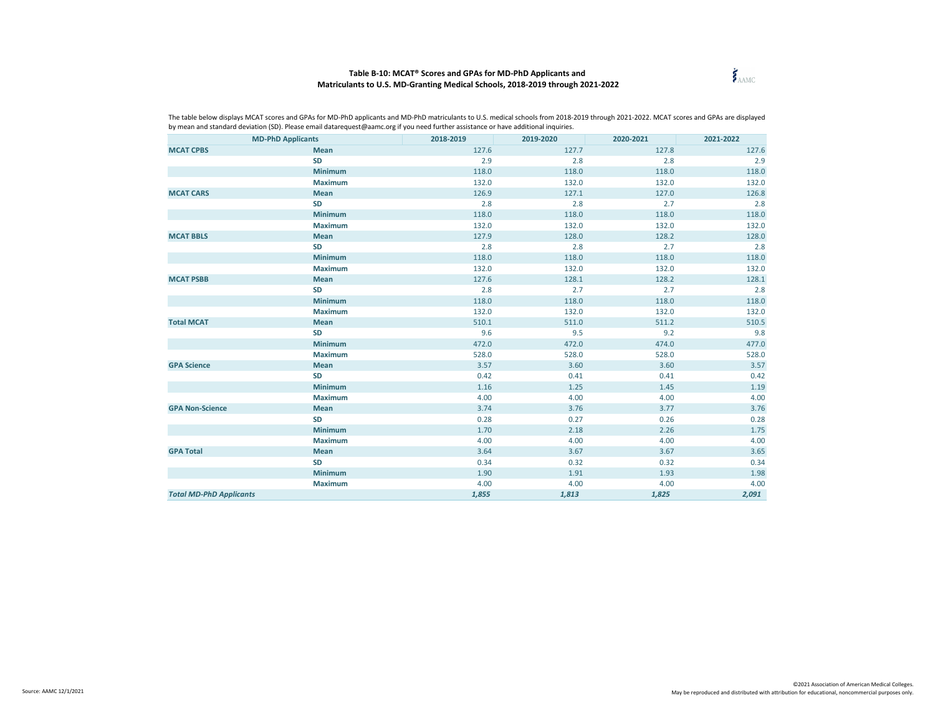## **Table B-10: MCAT® Scores and GPAs for MD-PhD Applicants and Matriculants to U.S. MD-Granting Medical Schools, 2018-2019 through 2021-2022**



| <b>MD-PhD Applicants</b>       |                | 2018-2019 | 2019-2020 | 2020-2021 | 2021-2022 |
|--------------------------------|----------------|-----------|-----------|-----------|-----------|
| <b>MCAT CPBS</b>               | Mean           | 127.6     | 127.7     | 127.8     | 127.6     |
|                                | SD             | 2.9       | 2.8       | 2.8       | 2.9       |
|                                | Minimum        | 118.0     | 118.0     | 118.0     | 118.0     |
|                                | Maximum        | 132.0     | 132.0     | 132.0     | 132.0     |
| <b>MCAT CARS</b>               | Mean           | 126.9     | 127.1     | 127.0     | 126.8     |
|                                | <b>SD</b>      | 2.8       | 2.8       | 2.7       | 2.8       |
|                                | <b>Minimum</b> | 118.0     | 118.0     | 118.0     | 118.0     |
|                                | <b>Maximum</b> | 132.0     | 132.0     | 132.0     | 132.0     |
| <b>MCAT BBLS</b>               | <b>Mean</b>    | 127.9     | 128.0     | 128.2     | 128.0     |
|                                | <b>SD</b>      | 2.8       | 2.8       | 2.7       | 2.8       |
|                                | <b>Minimum</b> | 118.0     | 118.0     | 118.0     | 118.0     |
|                                | <b>Maximum</b> | 132.0     | 132.0     | 132.0     | 132.0     |
| <b>MCAT PSBB</b>               | Mean           | 127.6     | 128.1     | 128.2     | 128.1     |
|                                | <b>SD</b>      | 2.8       | 2.7       | 2.7       | 2.8       |
|                                | Minimum        | 118.0     | 118.0     | 118.0     | 118.0     |
|                                | <b>Maximum</b> | 132.0     | 132.0     | 132.0     | 132.0     |
| <b>Total MCAT</b>              | <b>Mean</b>    | 510.1     | 511.0     | 511.2     | 510.5     |
|                                | SD             | 9.6       | 9.5       | 9.2       | 9.8       |
|                                | Minimum        | 472.0     | 472.0     | 474.0     | 477.0     |
|                                | <b>Maximum</b> | 528.0     | 528.0     | 528.0     | 528.0     |
| <b>GPA Science</b>             | <b>Mean</b>    | 3.57      | 3.60      | 3.60      | 3.57      |
|                                | SD             | 0.42      | 0.41      | 0.41      | 0.42      |
|                                | Minimum        | 1.16      | 1.25      | 1.45      | 1.19      |
|                                | <b>Maximum</b> | 4.00      | 4.00      | 4.00      | 4.00      |
| <b>GPA Non-Science</b>         | <b>Mean</b>    | 3.74      | 3.76      | 3.77      | 3.76      |
|                                | SD             | 0.28      | 0.27      | 0.26      | 0.28      |
|                                | Minimum        | 1.70      | 2.18      | 2.26      | 1.75      |
|                                | Maximum        | 4.00      | 4.00      | 4.00      | 4.00      |
| <b>GPA Total</b>               | Mean           | 3.64      | 3.67      | 3.67      | 3.65      |
|                                | SD             | 0.34      | 0.32      | 0.32      | 0.34      |
|                                | Minimum        | 1.90      | 1.91      | 1.93      | 1.98      |
|                                | <b>Maximum</b> | 4.00      | 4.00      | 4.00      | 4.00      |
| <b>Total MD-PhD Applicants</b> |                | 1,855     | 1,813     | 1,825     | 2,091     |

The table below displays MCAT scores and GPAs for MD-PhD applicants and MD-PhD matriculants to U.S. medical schools from 2018-2019 through 2021-2022. MCAT scores and GPAs are displayed by mean and standard deviation (SD). Please email datarequest@aamc.org if you need further assistance or have additional inquiries.